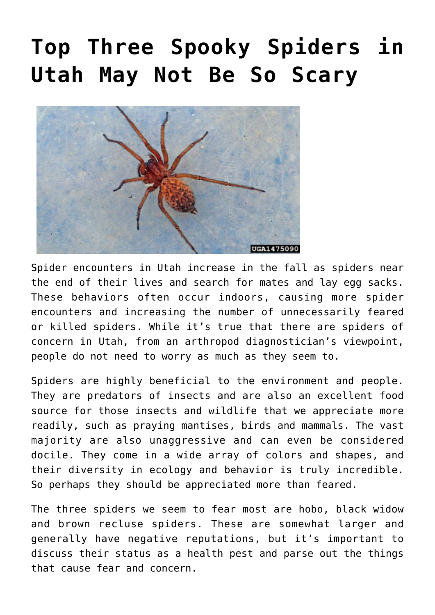# **[Top Three Spooky Spiders in](https://livewellutah.org/2021/10/22/top-three-spooky-spiders-in-utah-may-not-be-so-scary/) [Utah May Not Be So Scary](https://livewellutah.org/2021/10/22/top-three-spooky-spiders-in-utah-may-not-be-so-scary/)**



Spider encounters in Utah increase in the fall as spiders near the end of their lives and search for mates and lay egg sacks. These behaviors often occur indoors, causing more spider encounters and increasing the number of unnecessarily feared or killed spiders. While it's true that there are spiders of concern in Utah, from an arthropod diagnostician's viewpoint, people do not need to worry as much as they seem to.

Spiders are highly beneficial to the environment and people. They are predators of insects and are also an excellent food source for those insects and wildlife that we appreciate more readily, such as praying mantises, birds and mammals. The vast majority are also unaggressive and can even be considered docile. They come in a wide array of colors and shapes, and their diversity in ecology and behavior is truly incredible. So perhaps they should be appreciated more than feared.

The three spiders we seem to fear most are hobo, black widow and brown recluse spiders. These are somewhat larger and generally have negative reputations, but it's important to discuss their status as a health pest and parse out the things that cause fear and concern.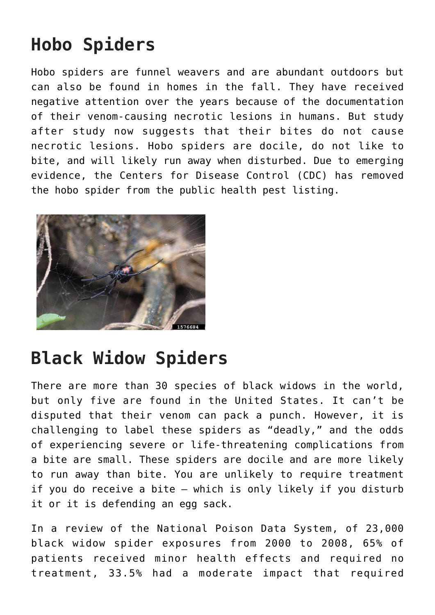## **Hobo Spiders**

Hobo spiders are funnel weavers and are abundant outdoors but can also be found in homes in the fall. They have received negative attention over the years because of the documentation of their venom-causing necrotic lesions in humans. But study after study now suggests that their bites do not cause necrotic lesions. Hobo spiders are docile, do not like to bite, and will likely run away when disturbed. Due to emerging evidence, the Centers for Disease Control (CDC) has removed the hobo spider from the public health pest listing.



### **Black Widow Spiders**

There are more than 30 species of black widows in the world, but only five are found in the United States. It can't be disputed that their venom can pack a punch. However, it is challenging to label these spiders as "deadly," and the odds of experiencing severe or life-threatening complications from a bite are small. These spiders are docile and are more likely to run away than bite. You are unlikely to require treatment if you do receive a bite – which is only likely if you disturb it or it is defending an egg sack.

In a [review](https://pubmed.ncbi.nlm.nih.gov/22116992/) of the National Poison Data System, of 23,000 black widow spider exposures from 2000 to 2008, 65% of patients received minor health effects and required no treatment, 33.5% had a moderate impact that required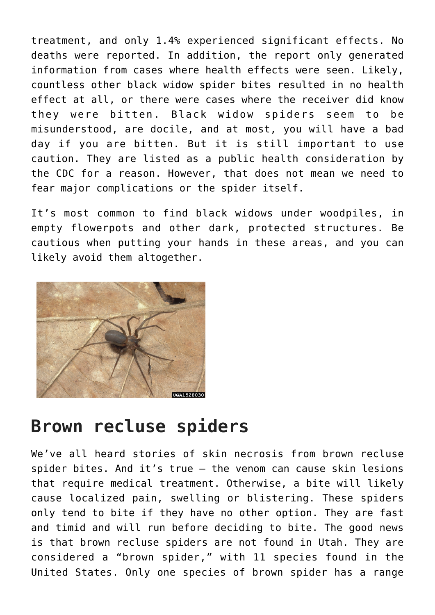treatment, and only 1.4% experienced significant effects. No deaths were reported. In addition, the report only generated information from cases where health effects were seen. Likely, countless other black widow spider bites resulted in no health effect at all, or there were cases where the receiver did know they were bitten. Black widow spiders seem to be misunderstood, are docile, and at most, you will have a bad day if you are bitten. But it is still important to use caution. They are listed as a public health consideration by the CDC for a reason. However, that does not mean we need to fear major complications or the spider itself.

It's most common to find black widows under woodpiles, in empty flowerpots and other dark, protected structures. Be cautious when putting your hands in these areas, and you can likely avoid them altogether.



#### **Brown recluse spiders**

We've all heard stories of skin necrosis from brown recluse spider bites. And it's true – the venom can cause skin lesions that require medical treatment. Otherwise, a bite will likely cause localized pain, swelling or blistering. These spiders only tend to bite if they have no other option. They are fast and timid and will run before deciding to bite. The good news is that brown recluse spiders are not found in Utah. They are considered a "brown spider," with 11 species found in the United States. Only one species of brown spider has a range